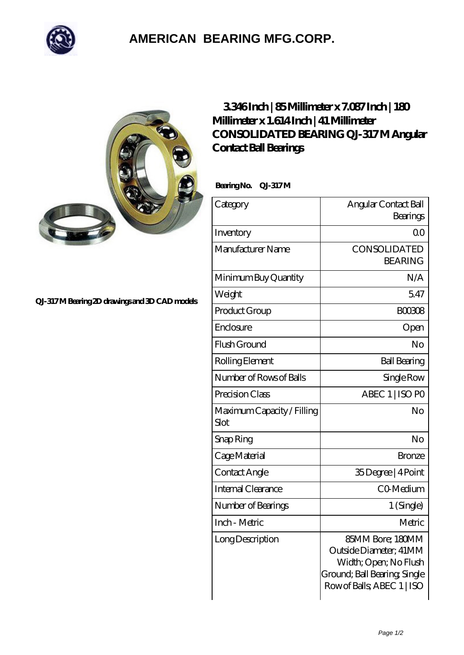

## **[AMERICAN BEARING MFG.CORP.](https://m.geragogik.net)**



## **[QJ-317 M Bearing 2D drawings and 3D CAD models](https://m.geragogik.net/pic-181235.html)**

## **[3.346 Inch | 85 Millimeter x 7.087 Inch | 180](https://m.geragogik.net/aw-181235-consolidated-bearing-qj-317-m-angular-contact-ball-bearings.html) [Millimeter x 1.614 Inch | 41 Millimeter](https://m.geragogik.net/aw-181235-consolidated-bearing-qj-317-m-angular-contact-ball-bearings.html) [CONSOLIDATED BEARING QJ-317 M Angular](https://m.geragogik.net/aw-181235-consolidated-bearing-qj-317-m-angular-contact-ball-bearings.html) [Contact Ball Bearings](https://m.geragogik.net/aw-181235-consolidated-bearing-qj-317-m-angular-contact-ball-bearings.html)**

Bearing No. QJ-317M

| Category                           | Angular Contact Ball<br>Bearings                                                                                                  |
|------------------------------------|-----------------------------------------------------------------------------------------------------------------------------------|
| Inventory                          | $\Omega$ <sup>O</sup>                                                                                                             |
| Manufacturer Name                  | CONSOLIDATED<br><b>BEARING</b>                                                                                                    |
| Minimum Buy Quantity               | N/A                                                                                                                               |
| Weight                             | 5.47                                                                                                                              |
| Product Group                      | <b>BOO308</b>                                                                                                                     |
| Enclosure                          | Open                                                                                                                              |
| Flush Ground                       | No                                                                                                                                |
| Rolling Element                    | <b>Ball Bearing</b>                                                                                                               |
| Number of Rows of Balls            | Single Row                                                                                                                        |
| Precision Class                    | ABEC 1   ISO PO                                                                                                                   |
| Maximum Capacity / Filling<br>Slot | No                                                                                                                                |
| Snap Ring                          | No                                                                                                                                |
| Cage Material                      | <b>Bronze</b>                                                                                                                     |
| Contact Angle                      | 35Degree   4Point                                                                                                                 |
| <b>Internal Clearance</b>          | CO-Medium                                                                                                                         |
| Number of Bearings                 | 1 (Single)                                                                                                                        |
| Inch - Metric                      | Metric                                                                                                                            |
| Long Description                   | 85MM Bore; 180MM<br>Outside Diameter: 41MM<br>Width; Open; No Flush<br>Ground; Ball Bearing, Single<br>Row of Balls, ABEC 1   ISO |